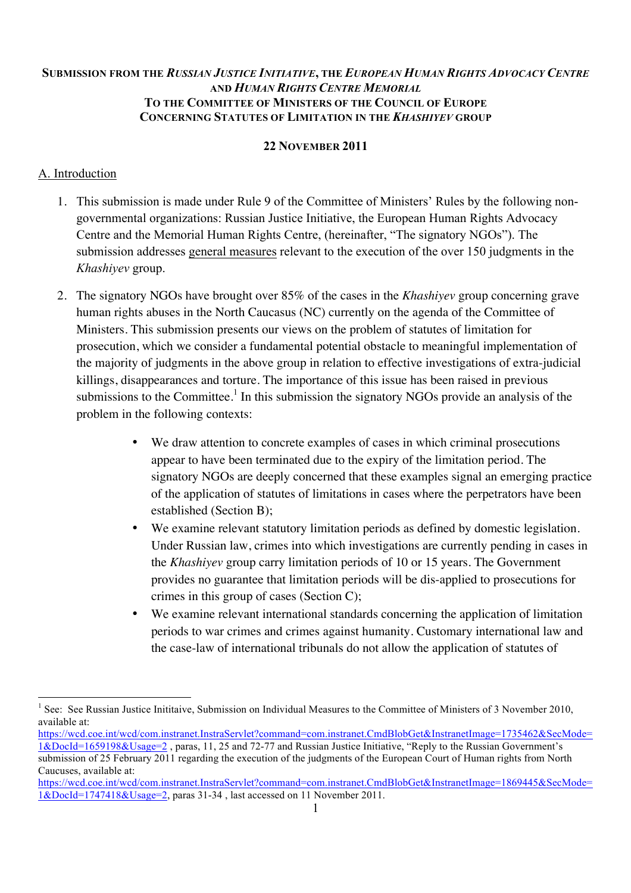## **SUBMISSION FROM THE** *RUSSIAN JUSTICE INITIATIVE***, THE** *EUROPEAN HUMAN RIGHTS ADVOCACY CENTRE* **AND** *HUMAN RIGHTS CENTRE MEMORIAL* **TO THE COMMITTEE OF MINISTERS OF THE COUNCIL OF EUROPE CONCERNING STATUTES OF LIMITATION IN THE** *KHASHIYEV* **GROUP**

### **22 NOVEMBER 2011**

## A. Introduction

- 1. This submission is made under Rule 9 of the Committee of Ministers' Rules by the following nongovernmental organizations: Russian Justice Initiative, the European Human Rights Advocacy Centre and the Memorial Human Rights Centre, (hereinafter, "The signatory NGOs"). The submission addresses general measures relevant to the execution of the over 150 judgments in the *Khashiyev* group.
- 2. The signatory NGOs have brought over 85% of the cases in the *Khashiyev* group concerning grave human rights abuses in the North Caucasus (NC) currently on the agenda of the Committee of Ministers. This submission presents our views on the problem of statutes of limitation for prosecution, which we consider a fundamental potential obstacle to meaningful implementation of the majority of judgments in the above group in relation to effective investigations of extra-judicial killings, disappearances and torture. The importance of this issue has been raised in previous submissions to the Committee.<sup>1</sup> In this submission the signatory NGOs provide an analysis of the problem in the following contexts:
	- We draw attention to concrete examples of cases in which criminal prosecutions appear to have been terminated due to the expiry of the limitation period. The signatory NGOs are deeply concerned that these examples signal an emerging practice of the application of statutes of limitations in cases where the perpetrators have been established (Section B);
	- We examine relevant statutory limitation periods as defined by domestic legislation. Under Russian law, crimes into which investigations are currently pending in cases in the *Khashiyev* group carry limitation periods of 10 or 15 years. The Government provides no guarantee that limitation periods will be dis-applied to prosecutions for crimes in this group of cases (Section C);
	- We examine relevant international standards concerning the application of limitation periods to war crimes and crimes against humanity. Customary international law and the case-law of international tribunals do not allow the application of statutes of

<sup>&</sup>lt;sup>1</sup> See: See Russian Justice Inititaive, Submission on Individual Measures to the Committee of Ministers of 3 November 2010, available at:

https://wcd.coe.int/wcd/com.instranet.InstraServlet?command=com.instranet.CmdBlobGet&InstranetImage=1735462&SecMode= 1&DocId=1659198&Usage=2 , paras, 11, 25 and 72-77 and Russian Justice Initiative, "Reply to the Russian Government's submission of 25 February 2011 regarding the execution of the judgments of the European Court of Human rights from North Caucuses, available at:

https://wcd.coe.int/wcd/com.instranet.InstraServlet?command=com.instranet.CmdBlobGet&InstranetImage=1869445&SecMode= 1&DocId=1747418&Usage=2, paras 31-34 , last accessed on 11 November 2011.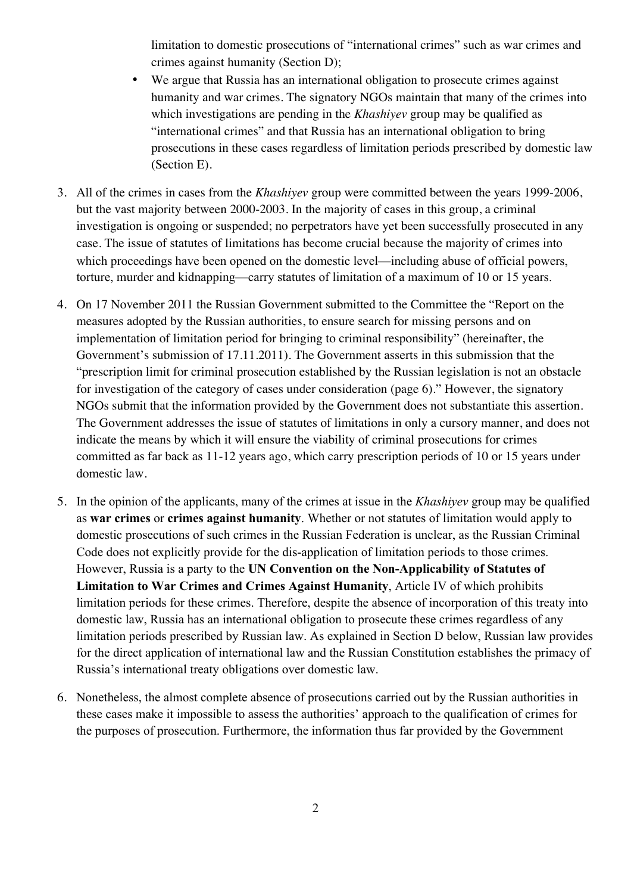limitation to domestic prosecutions of "international crimes" such as war crimes and crimes against humanity (Section D);

- We argue that Russia has an international obligation to prosecute crimes against humanity and war crimes. The signatory NGOs maintain that many of the crimes into which investigations are pending in the *Khashiyev* group may be qualified as "international crimes" and that Russia has an international obligation to bring prosecutions in these cases regardless of limitation periods prescribed by domestic law (Section E).
- 3. All of the crimes in cases from the *Khashiyev* group were committed between the years 1999-2006, but the vast majority between 2000-2003. In the majority of cases in this group, a criminal investigation is ongoing or suspended; no perpetrators have yet been successfully prosecuted in any case. The issue of statutes of limitations has become crucial because the majority of crimes into which proceedings have been opened on the domestic level—including abuse of official powers, torture, murder and kidnapping—carry statutes of limitation of a maximum of 10 or 15 years.
- 4. On 17 November 2011 the Russian Government submitted to the Committee the "Report on the measures adopted by the Russian authorities, to ensure search for missing persons and on implementation of limitation period for bringing to criminal responsibility" (hereinafter, the Government's submission of 17.11.2011). The Government asserts in this submission that the "prescription limit for criminal prosecution established by the Russian legislation is not an obstacle for investigation of the category of cases under consideration (page 6)." However, the signatory NGOs submit that the information provided by the Government does not substantiate this assertion. The Government addresses the issue of statutes of limitations in only a cursory manner, and does not indicate the means by which it will ensure the viability of criminal prosecutions for crimes committed as far back as 11-12 years ago, which carry prescription periods of 10 or 15 years under domestic law.
- 5. In the opinion of the applicants, many of the crimes at issue in the *Khashiyev* group may be qualified as **war crimes** or **crimes against humanity**. Whether or not statutes of limitation would apply to domestic prosecutions of such crimes in the Russian Federation is unclear, as the Russian Criminal Code does not explicitly provide for the dis-application of limitation periods to those crimes. However, Russia is a party to the **UN Convention on the Non-Applicability of Statutes of Limitation to War Crimes and Crimes Against Humanity**, Article IV of which prohibits limitation periods for these crimes. Therefore, despite the absence of incorporation of this treaty into domestic law, Russia has an international obligation to prosecute these crimes regardless of any limitation periods prescribed by Russian law. As explained in Section D below, Russian law provides for the direct application of international law and the Russian Constitution establishes the primacy of Russia's international treaty obligations over domestic law.
- 6. Nonetheless, the almost complete absence of prosecutions carried out by the Russian authorities in these cases make it impossible to assess the authorities' approach to the qualification of crimes for the purposes of prosecution. Furthermore, the information thus far provided by the Government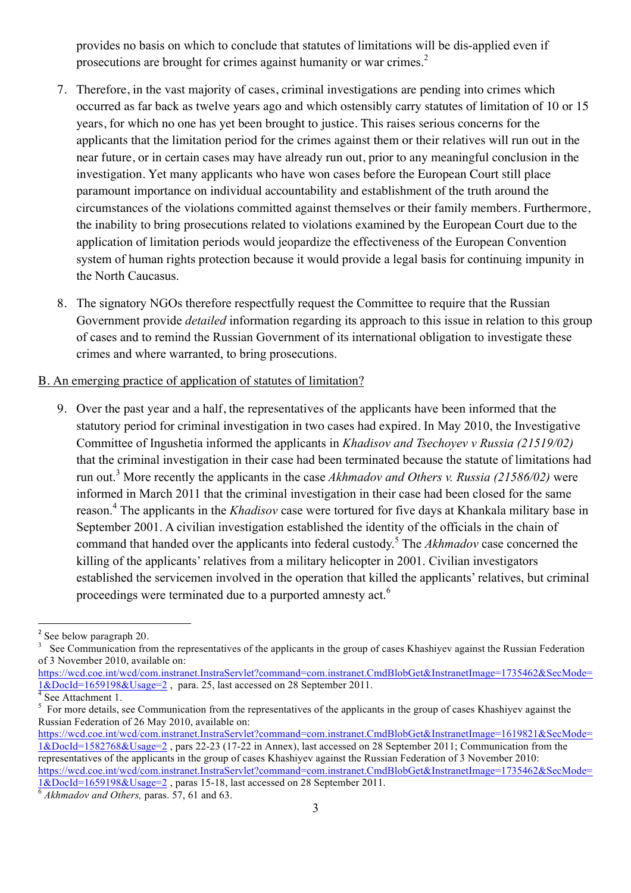provides no basis on which to conclude that statutes of limitations will be dis-applied even if prosecutions are brought for crimes against humanity or war crimes.2

- 7. Therefore, in the vast majority of cases, criminal investigations are pending into crimes which occurred as far back as twelve years ago and which ostensibly carry statutes of limitation of 10 or 15 years, for which no one has yet been brought to justice. This raises serious concerns for the applicants that the limitation period for the crimes against them or their relatives will run out in the near future, or in certain cases may have already run out, prior to any meaningful conclusion in the investigation. Yet many applicants who have won cases before the European Court still place paramount importance on individual accountability and establishment of the truth around the circumstances of the violations committed against themselves or their family members. Furthermore, the inability to bring prosecutions related to violations examined by the European Court due to the application of limitation periods would jeopardize the effectiveness of the European Convention system of human rights protection because it would provide a legal basis for continuing impunity in the North Caucasus.
- 8. The signatory NGOs therefore respectfully request the Committee to require that the Russian Government provide *detailed* information regarding its approach to this issue in relation to this group of cases and to remind the Russian Government of its international obligation to investigate these crimes and where warranted, to bring prosecutions.

#### B. An emerging practice of application of statutes of limitation?

9. Over the past year and a half, the representatives of the applicants have been informed that the statutory period for criminal investigation in two cases had expired. In May 2010, the Investigative Committee of Ingushetia informed the applicants in *Khadisov and Tsechoyev v Russia (21519/02)* that the criminal investigation in their case had been terminated because the statute of limitations had run out.<sup>3</sup> More recently the applicants in the case *Akhmadov and Others v. Russia (21586/02)* were informed in March 2011 that the criminal investigation in their case had been closed for the same reason.<sup>4</sup> The applicants in the *Khadisov* case were tortured for five days at Khankala military base in September 2001. A civilian investigation established the identity of the officials in the chain of command that handed over the applicants into federal custody.<sup>5</sup> The *Akhmadov* case concerned the killing of the applicants' relatives from a military helicopter in 2001. Civilian investigators established the servicemen involved in the operation that killed the applicants' relatives, but criminal proceedings were terminated due to a purported amnesty act.<sup>6</sup>

<u> 1989 - Jan Samuel Barbara, margaret e</u>

 $2^2$  See below paragraph 20.

<sup>&</sup>lt;sup>3</sup> See Communication from the representatives of the applicants in the group of cases Khashiyev against the Russian Federation of 3 November 2010, available on:

https://wcd.coe.int/wcd/com.instranet.InstraServlet?command=com.instranet.CmdBlobGet&InstranetImage=1735462&SecMode=  $\frac{1 \&\text{DocId}=1659198\&\text{Usage}=2}{4}$ , para. 25, last accessed on 28 September 2011.

 $5$  For more details, see Communication from the representatives of the applicants in the group of cases Khashiyev against the Russian Federation of 26 May 2010, available on:

https://wcd.coe.int/wcd/com.instranet.InstraServlet?command=com.instranet.CmdBlobGet&InstranetImage=1619821&SecMode= 1&DocId=1582768&Usage=2 , pars 22-23 (17-22 in Annex), last accessed on 28 September 2011; Communication from the representatives of the applicants in the group of cases Khashiyev against the Russian Federation of 3 November 2010: https://wcd.coe.int/wcd/com.instranet.InstraServlet?command=com.instranet.CmdBlobGet&InstranetImage=1735462&SecMode=

<sup>1&</sup>amp;DocId=1659198&Usage=2 , paras 15-18, last accessed on 28 September 2011. 6 *Akhmadov and Others,* paras. 57, 61 and 63.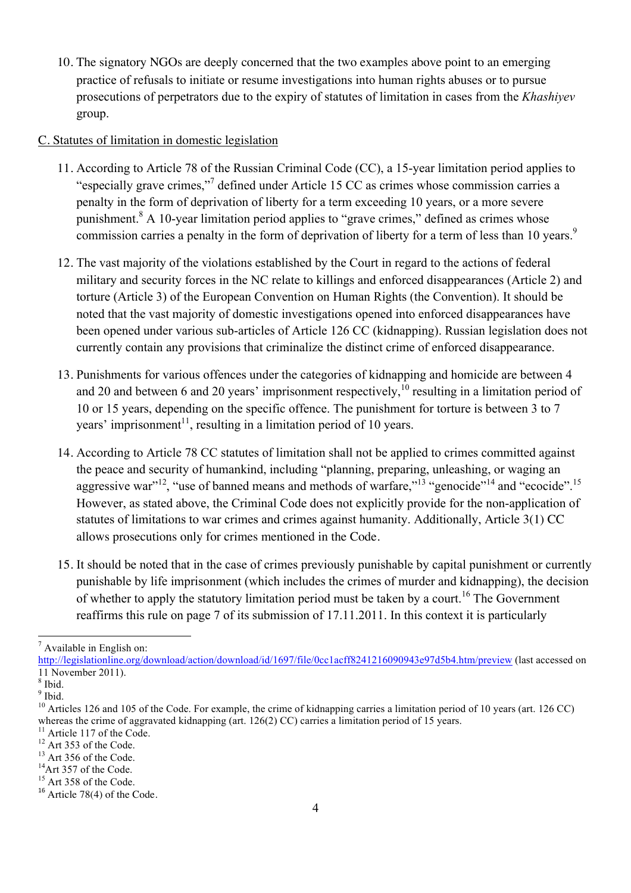10. The signatory NGOs are deeply concerned that the two examples above point to an emerging practice of refusals to initiate or resume investigations into human rights abuses or to pursue prosecutions of perpetrators due to the expiry of statutes of limitation in cases from the *Khashiyev*  group.

## C. Statutes of limitation in domestic legislation

- 11. According to Article 78 of the Russian Criminal Code (CC), a 15-year limitation period applies to "especially grave crimes,"7 defined under Article 15 CC as crimes whose commission carries a penalty in the form of deprivation of liberty for a term exceeding 10 years, or a more severe punishment.<sup>8</sup> A 10-year limitation period applies to "grave crimes," defined as crimes whose commission carries a penalty in the form of deprivation of liberty for a term of less than 10 years.<sup>9</sup>
- 12. The vast majority of the violations established by the Court in regard to the actions of federal military and security forces in the NC relate to killings and enforced disappearances (Article 2) and torture (Article 3) of the European Convention on Human Rights (the Convention). It should be noted that the vast majority of domestic investigations opened into enforced disappearances have been opened under various sub-articles of Article 126 CC (kidnapping). Russian legislation does not currently contain any provisions that criminalize the distinct crime of enforced disappearance.
- 13. Punishments for various offences under the categories of kidnapping and homicide are between 4 and 20 and between 6 and 20 years' imprisonment respectively,  $\frac{10}{10}$  resulting in a limitation period of 10 or 15 years, depending on the specific offence. The punishment for torture is between 3 to 7 years' imprisonment<sup>11</sup>, resulting in a limitation period of 10 years.
- 14. According to Article 78 CC statutes of limitation shall not be applied to crimes committed against the peace and security of humankind, including "planning, preparing, unleashing, or waging an aggressive war"<sup>12</sup>, "use of banned means and methods of warfare,"<sup>13</sup> "genocide"<sup>14</sup> and "ecocide".<sup>15</sup> However, as stated above, the Criminal Code does not explicitly provide for the non-application of statutes of limitations to war crimes and crimes against humanity. Additionally, Article 3(1) CC allows prosecutions only for crimes mentioned in the Code.
- 15. It should be noted that in the case of crimes previously punishable by capital punishment or currently punishable by life imprisonment (which includes the crimes of murder and kidnapping), the decision of whether to apply the statutory limitation period must be taken by a court.<sup>16</sup> The Government reaffirms this rule on page 7 of its submission of 17.11.2011. In this context it is particularly

 $<sup>7</sup>$  Available in English on:</sup>

http://legislationline.org/download/action/download/id/1697/file/0cc1acff8241216090943e97d5b4.htm/preview (last accessed on 11 November 2011).<br> $8$  Ibid.

 $\frac{9}{10}$  Ibid.<br><sup>9</sup> Ibid.<br><sup>10</sup> Articles 126 and 105 of the Code. For example, the crime of kidnapping carries a limitation period of 10 years (art. 126 CC) whereas the crime of aggravated kidnapping (art. 126(2) CC) carries a limitation period of 15 years.<br><sup>11</sup> Article 117 of the Code.<br><sup>12</sup> Art 353 of the Code.<br><sup>13</sup> Art 356 of the Code.<br><sup>14</sup> Art 357 of the Code.<br><sup>15</sup> Art 358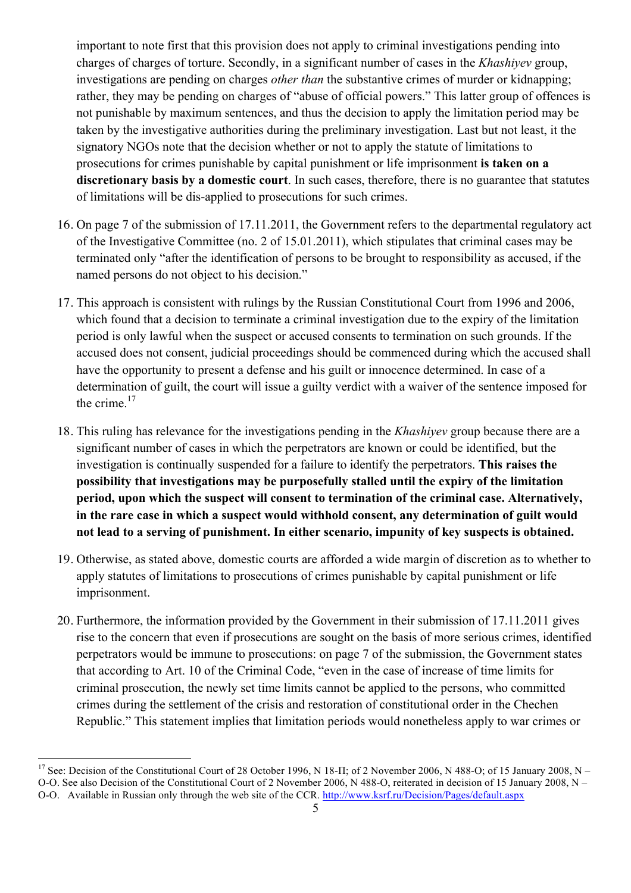important to note first that this provision does not apply to criminal investigations pending into charges of charges of torture. Secondly, in a significant number of cases in the *Khashiyev* group, investigations are pending on charges *other than* the substantive crimes of murder or kidnapping; rather, they may be pending on charges of "abuse of official powers." This latter group of offences is not punishable by maximum sentences, and thus the decision to apply the limitation period may be taken by the investigative authorities during the preliminary investigation. Last but not least, it the signatory NGOs note that the decision whether or not to apply the statute of limitations to prosecutions for crimes punishable by capital punishment or life imprisonment **is taken on a discretionary basis by a domestic court**. In such cases, therefore, there is no guarantee that statutes of limitations will be dis-applied to prosecutions for such crimes.

- 16. On page 7 of the submission of 17.11.2011, the Government refers to the departmental regulatory act of the Investigative Committee (no. 2 of 15.01.2011), which stipulates that criminal cases may be terminated only "after the identification of persons to be brought to responsibility as accused, if the named persons do not object to his decision."
- 17. This approach is consistent with rulings by the Russian Constitutional Court from 1996 and 2006, which found that a decision to terminate a criminal investigation due to the expiry of the limitation period is only lawful when the suspect or accused consents to termination on such grounds. If the accused does not consent, judicial proceedings should be commenced during which the accused shall have the opportunity to present a defense and his guilt or innocence determined. In case of a determination of guilt, the court will issue a guilty verdict with a waiver of the sentence imposed for the crime.<sup>17</sup>
- 18. This ruling has relevance for the investigations pending in the *Khashiyev* group because there are a significant number of cases in which the perpetrators are known or could be identified, but the investigation is continually suspended for a failure to identify the perpetrators. **This raises the possibility that investigations may be purposefully stalled until the expiry of the limitation period, upon which the suspect will consent to termination of the criminal case. Alternatively, in the rare case in which a suspect would withhold consent, any determination of guilt would not lead to a serving of punishment. In either scenario, impunity of key suspects is obtained.**
- 19. Otherwise, as stated above, domestic courts are afforded a wide margin of discretion as to whether to apply statutes of limitations to prosecutions of crimes punishable by capital punishment or life imprisonment.
- 20. Furthermore, the information provided by the Government in their submission of 17.11.2011 gives rise to the concern that even if prosecutions are sought on the basis of more serious crimes, identified perpetrators would be immune to prosecutions: on page 7 of the submission, the Government states that according to Art. 10 of the Criminal Code, "even in the case of increase of time limits for criminal prosecution, the newly set time limits cannot be applied to the persons, who committed crimes during the settlement of the crisis and restoration of constitutional order in the Chechen Republic." This statement implies that limitation periods would nonetheless apply to war crimes or

<u> 1989 - Jan Samuel Barbara, margaret e</u>

<sup>&</sup>lt;sup>17</sup> See: Decision of the Constitutional Court of 28 October 1996, N 18-II; of 2 November 2006, N 488-O; of 15 January 2008, N –

O-O. See also Decision of the Constitutional Court of 2 November 2006, N 488-О, reiterated in decision of 15 January 2008, N –

O-O. Available in Russian only through the web site of the CCR. http://www.ksrf.ru/Decision/Pages/default.aspx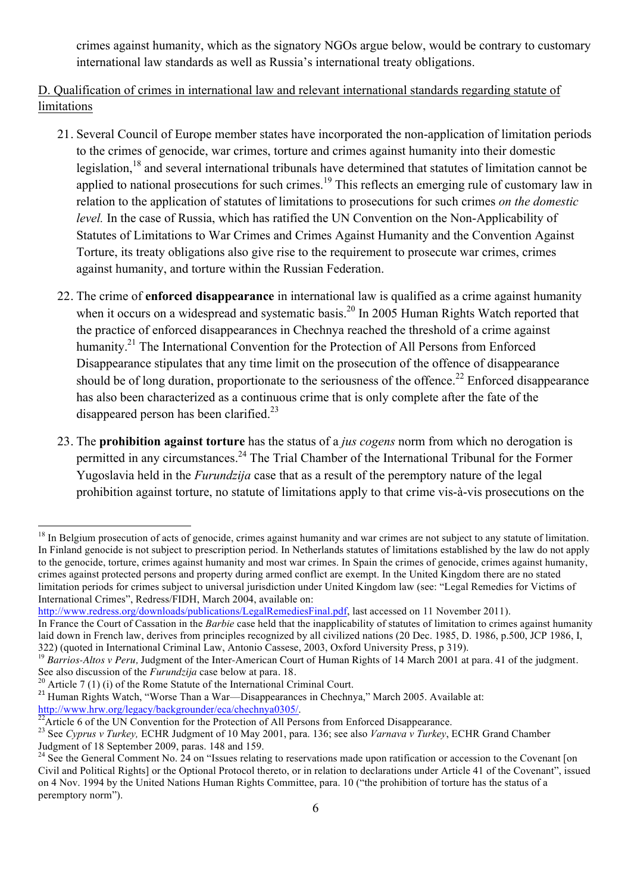crimes against humanity, which as the signatory NGOs argue below, would be contrary to customary international law standards as well as Russia's international treaty obligations.

# D. Qualification of crimes in international law and relevant international standards regarding statute of limitations

- 21. Several Council of Europe member states have incorporated the non-application of limitation periods to the crimes of genocide, war crimes, torture and crimes against humanity into their domestic legislation, <sup>18</sup> and several international tribunals have determined that statutes of limitation cannot be applied to national prosecutions for such crimes.<sup>19</sup> This reflects an emerging rule of customary law in relation to the application of statutes of limitations to prosecutions for such crimes *on the domestic level.* In the case of Russia, which has ratified the UN Convention on the Non-Applicability of Statutes of Limitations to War Crimes and Crimes Against Humanity and the Convention Against Torture, its treaty obligations also give rise to the requirement to prosecute war crimes, crimes against humanity, and torture within the Russian Federation.
- 22. The crime of **enforced disappearance** in international law is qualified as a crime against humanity when it occurs on a widespread and systematic basis.<sup>20</sup> In 2005 Human Rights Watch reported that the practice of enforced disappearances in Chechnya reached the threshold of a crime against humanity.<sup>21</sup> The International Convention for the Protection of All Persons from Enforced Disappearance stipulates that any time limit on the prosecution of the offence of disappearance should be of long duration, proportionate to the seriousness of the offence.<sup>22</sup> Enforced disappearance has also been characterized as a continuous crime that is only complete after the fate of the disappeared person has been clarified.<sup>23</sup>
- 23. The **prohibition against torture** has the status of a *jus cogens* norm from which no derogation is permitted in any circumstances.<sup>24</sup> The Trial Chamber of the International Tribunal for the Former Yugoslavia held in the *Furundzija* case that as a result of the peremptory nature of the legal prohibition against torture, no statute of limitations apply to that crime vis-à-vis prosecutions on the

<u> 1989 - Jan Samuel Barbara, margaret e</u>

<sup>&</sup>lt;sup>18</sup> In Belgium prosecution of acts of genocide, crimes against humanity and war crimes are not subject to any statute of limitation. In Finland genocide is not subject to prescription period. In Netherlands statutes of limitations established by the law do not apply to the genocide, torture, crimes against humanity and most war crimes. In Spain the crimes of genocide, crimes against humanity, crimes against protected persons and property during armed conflict are exempt. In the United Kingdom there are no stated limitation periods for crimes subject to universal jurisdiction under United Kingdom law (see: "Legal Remedies for Victims of International Crimes", Redress/FIDH, March 2004, available on:

http://www.redress.org/downloads/publications/LegalRemediesFinal.pdf, last accessed on 11 November 2011).

In France the Court of Cassation in the *Barbie* case held that the inapplicability of statutes of limitation to crimes against humanity laid down in French law, derives from principles recognized by all civilized nations (20 Dec. 1985, D. 1986, p.500, JCP 1986, I, 322) (quoted in International Criminal Law, Antonio Cassese, 2003, Oxford University Press, p 319).

<sup>&</sup>lt;sup>19</sup> *Barrios-Altos v Peru*, Judgment of the Inter-American Court of Human Rights of 14 March 2001 at para. 41 of the judgment.<br>See also discussion of the *Furundzija* case below at para. 18.<br><sup>20</sup> Article 7 (1) (i) of the

<sup>&</sup>lt;sup>21</sup> Human Rights Watch, "Worse Than a War—Disappearances in Chechnya," March 2005. Available at: http://www.hrw.org/legacy/backgrounder/eca/chechnya0305/.<br><sup>22</sup>Article 6 of the UN Convention for the Protection of All Persons from Enforced Disappearance.

<sup>23</sup> See *Cyprus v Turkey,* ECHR Judgment of 10 May 2001, para. 136; see also *Varnava v Turkey*, ECHR Grand Chamber Judgment of 18 September 2009, paras. 148 and 159.

 $24$  See the General Comment No. 24 on "Issues relating to reservations made upon ratification or accession to the Covenant [on Civil and Political Rights] or the Optional Protocol thereto, or in relation to declarations under Article 41 of the Covenant", issued on 4 Nov. 1994 by the United Nations Human Rights Committee, para. 10 ("the prohibition of torture has the status of a peremptory norm").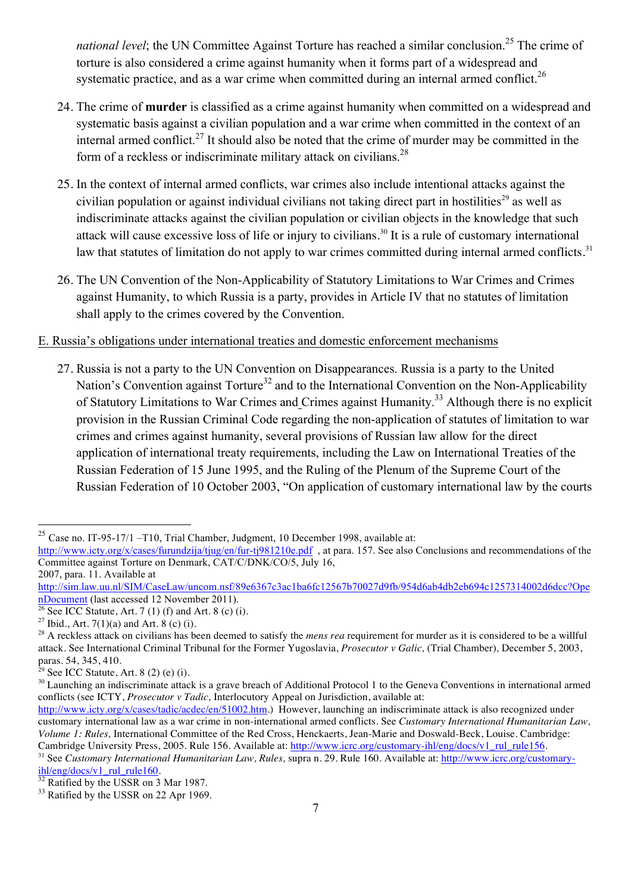national level; the UN Committee Against Torture has reached a similar conclusion.<sup>25</sup> The crime of torture is also considered a crime against humanity when it forms part of a widespread and systematic practice, and as a war crime when committed during an internal armed conflict.<sup>26</sup>

- 24. The crime of **murder** is classified as a crime against humanity when committed on a widespread and systematic basis against a civilian population and a war crime when committed in the context of an internal armed conflict.<sup>27</sup> It should also be noted that the crime of murder may be committed in the form of a reckless or indiscriminate military attack on civilians.<sup>28</sup>
- 25. In the context of internal armed conflicts, war crimes also include intentional attacks against the civilian population or against individual civilians not taking direct part in hostilities<sup>29</sup> as well as indiscriminate attacks against the civilian population or civilian objects in the knowledge that such attack will cause excessive loss of life or injury to civilians.<sup>30</sup> It is a rule of customary international law that statutes of limitation do not apply to war crimes committed during internal armed conflicts.<sup>31</sup>
- 26. The UN Convention of the Non-Applicability of Statutory Limitations to War Crimes and Crimes against Humanity, to which Russia is a party, provides in Article IV that no statutes of limitation shall apply to the crimes covered by the Convention.

## E. Russia's obligations under international treaties and domestic enforcement mechanisms

27. Russia is not a party to the UN Convention on Disappearances. Russia is a party to the United Nation's Convention against Torture<sup>32</sup> and to the International Convention on the Non-Applicability of Statutory Limitations to War Crimes and Crimes against Humanity.33 Although there is no explicit provision in the Russian Criminal Code regarding the non-application of statutes of limitation to war crimes and crimes against humanity, several provisions of Russian law allow for the direct application of international treaty requirements, including the Law on International Treaties of the Russian Federation of 15 June 1995, and the Ruling of the Plenum of the Supreme Court of the Russian Federation of 10 October 2003, "On application of customary international law by the courts

2007, para. 11. Available at

<sup>&</sup>lt;sup>25</sup> Case no. IT-95-17/1 –T10, Trial Chamber, Judgment, 10 December 1998, available at:

http://www.icty.org/x/cases/furundzija/tjug/en/fur-tj981210e.pdf , at para. 157. See also Conclusions and recommendations of the Committee against Torture on Denmark, CAT/C/DNK/CO/5, July 16,

http://sim.law.uu.nl/SIM/CaseLaw/uncom.nsf/89e6367c3ac1ba6fc12567b70027d9fb/954d6ab4db2eb694c1257314002d6dcc?Ope nDocument (last accessed 12 November 2011).<br> $26$  See ICC Statute, Art. 7 (1) (f) and Art. 8 (c) (i).

<sup>&</sup>lt;sup>27</sup> Ibid., Art. 7(1)(a) and Art. 8 (c) (i).<br><sup>28</sup> A reckless attack on civilians has been deemed to satisfy the *mens rea* requirement for murder as it is considered to be a willful attack. See International Criminal Tribunal for the Former Yugoslavia, *Prosecutor v Galic,* (Trial Chamber)*,* December 5, 2003, paras. 54, 345, 410.<br><sup>29</sup> See ICC Statute, Art. 8 (2) (e) (i).

 $30$  Launching an indiscriminate attack is a grave breach of Additional Protocol 1 to the Geneva Conventions in international armed conflicts (see ICTY, *Prosecutor v Tadic,* Interlocutory Appeal on Jurisdiction, available at:

http://www.icty.org/x/cases/tadic/acdec/en/51002.htm.) However, launching an indiscriminate attack is also recognized under customary international law as a war crime in non-international armed conflicts. See *Customary International Humanitarian Law, Volume 1: Rules, International Committee of the Red Cross, Henckaerts, Jean-Marie and Doswald-Beck, Louise. Cambridge: Cambridge: Cambridge University Press, 2005. Rule 156. Available at: http://www.icrc.org/customary-ihl* 

<sup>&</sup>lt;sup>31</sup> See Customary International Humanitarian Law, Rules, supra n. 29. Rule 160. Available at:  $\frac{http://www.icrc.org/customary-hl/eng/docs/v1}$  rul rule160.

 $\frac{32}{32}$  Ratified by the USSR on 3 Mar 1987.<br><sup>33</sup> Ratified by the USSR on 22 Apr 1969.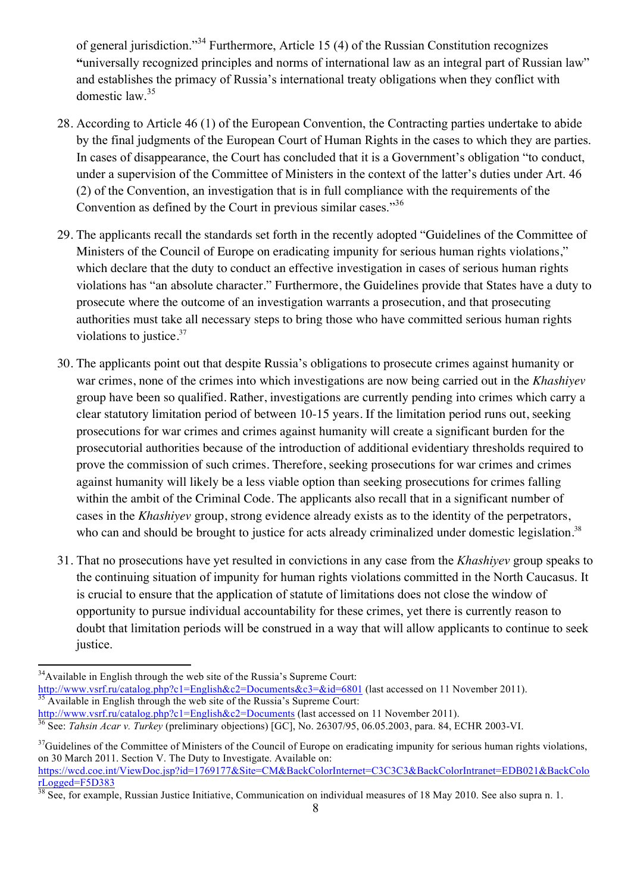of general jurisdiction."34 Furthermore, Article 15 (4) of the Russian Constitution recognizes **"**universally recognized principles and norms of international law as an integral part of Russian law" and establishes the primacy of Russia's international treaty obligations when they conflict with domestic law.<sup>35</sup>

- 28. According to Article 46 (1) of the European Convention, the Contracting parties undertake to abide by the final judgments of the European Court of Human Rights in the cases to which they are parties. In cases of disappearance, the Court has concluded that it is a Government's obligation "to conduct, under a supervision of the Committee of Ministers in the context of the latter's duties under Art. 46 (2) of the Convention, an investigation that is in full compliance with the requirements of the Convention as defined by the Court in previous similar cases."<sup>36</sup>
- 29. The applicants recall the standards set forth in the recently adopted "Guidelines of the Committee of Ministers of the Council of Europe on eradicating impunity for serious human rights violations," which declare that the duty to conduct an effective investigation in cases of serious human rights violations has "an absolute character." Furthermore, the Guidelines provide that States have a duty to prosecute where the outcome of an investigation warrants a prosecution, and that prosecuting authorities must take all necessary steps to bring those who have committed serious human rights violations to justice.<sup>37</sup>
- 30. The applicants point out that despite Russia's obligations to prosecute crimes against humanity or war crimes, none of the crimes into which investigations are now being carried out in the *Khashiyev*  group have been so qualified. Rather, investigations are currently pending into crimes which carry a clear statutory limitation period of between 10-15 years. If the limitation period runs out, seeking prosecutions for war crimes and crimes against humanity will create a significant burden for the prosecutorial authorities because of the introduction of additional evidentiary thresholds required to prove the commission of such crimes. Therefore, seeking prosecutions for war crimes and crimes against humanity will likely be a less viable option than seeking prosecutions for crimes falling within the ambit of the Criminal Code. The applicants also recall that in a significant number of cases in the *Khashiyev* group, strong evidence already exists as to the identity of the perpetrators, who can and should be brought to justice for acts already criminalized under domestic legislation.<sup>38</sup>
- 31. That no prosecutions have yet resulted in convictions in any case from the *Khashiyev* group speaks to the continuing situation of impunity for human rights violations committed in the North Caucasus. It is crucial to ensure that the application of statute of limitations does not close the window of opportunity to pursue individual accountability for these crimes, yet there is currently reason to doubt that limitation periods will be construed in a way that will allow applicants to continue to seek justice.

<sup>&</sup>lt;sup>34</sup>Available in English through the web site of the Russia's Supreme Court:

http://www.vsrf.ru/catalog.php?c1=English&c2=Documents&c3=&id=6801 (last accessed on 11 November 2011).<br><sup>35</sup> Available in English through the web site of the Russia's Supreme Court:

http://www.vsrf.ru/catalog.php?c1=English&c2=Documents (last accessed on 11 November 2011). 36 See: *Tahsin Acar v. Turkey* (preliminary objections) [GC], No. 26307/95, 06.05.2003, para. 84, ECHR 2003-VI.

<sup>&</sup>lt;sup>37</sup>Guidelines of the Committee of Ministers of the Council of Europe on eradicating impunity for serious human rights violations, on 30 March 2011. Section V. The Duty to Investigate. Available on: https://wcd.coe.int/ViewDoc.jsp?id=1769177&Site=CM&BackColorInternet=C3C3C3&BackColorIntranet=EDB021&BackColo rLogged=F5D383

<sup>&</sup>lt;sup>38</sup> See, for example, Russian Justice Initiative, Communication on individual measures of 18 May 2010. See also supra n. 1.